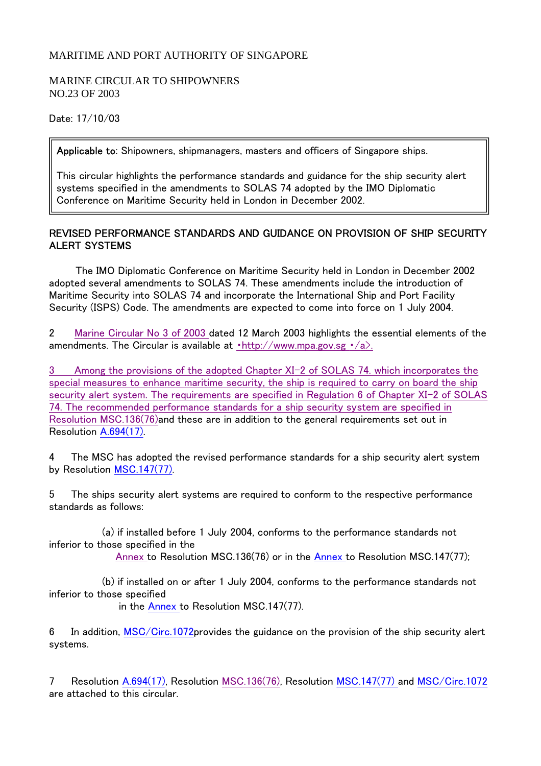## MARITIME AND PORT AUTHORITY OF SINGAPORE

## MARINE CIRCULAR TO SHIPOWNERS NO.23 OF 2003

Date: 17/10/03

Applicable to: Shipowners, shipmanagers, masters and officers of Singapore ships.

This circular highlights the performance standards and guidance for the ship security alert systems specified in the amendments to SOLAS 74 adopted by the IMO Diplomatic Conference on Maritime Security held in London in December 2002.

## REVISED PERFORMANCE STANDARDS AND GUIDANCE ON PROVISION OF SHIP SECURITY ALERT SYSTEMS

 The IMO Diplomatic Conference on Maritime Security held in London in December 2002 adopted several amendments to SOLAS 74. These amendments include the introduction of Maritime Security into SOLAS 74 and incorporate the International Ship and Port Facility Security (ISPS) Code. The amendments are expected to come into force on 1 July 2004.

2 Marine Circular No 3 of 2003 dated 12 March 2003 highlights the essential elements of the amendments. The Circular is available at  $\cdot$ http://www.mpa.gov.sg  $\cdot$ /a>.

3 Among the provisions of the adopted Chapter XI-2 of SOLAS 74. which incorporates the special measures to enhance maritime security, the ship is required to carry on board the ship security alert system. The requirements are specified in Regulation 6 of Chapter XI-2 of SOLAS 74. The recommended performance standards for a ship security system are specified in Resolution MSC.136(76)and these are in addition to the general requirements set out in Resolution A.694(17).

4 The MSC has adopted the revised performance standards for a ship security alert system by Resolution MSC.147(77).

5 The ships security alert systems are required to conform to the respective performance standards as follows:

 (a) if installed before 1 July 2004, conforms to the performance standards not inferior to those specified in the

Annex to Resolution MSC.136(76) or in the Annex to Resolution MSC.147(77);

 (b) if installed on or after 1 July 2004, conforms to the performance standards not inferior to those specified

in the Annex to Resolution MSC.147(77).

6 In addition, MSC/Circ.1072provides the guidance on the provision of the ship security alert systems.

7 Resolution A.694(17), Resolution MSC.136(76), Resolution MSC.147(77) and MSC/Circ.1072 are attached to this circular.